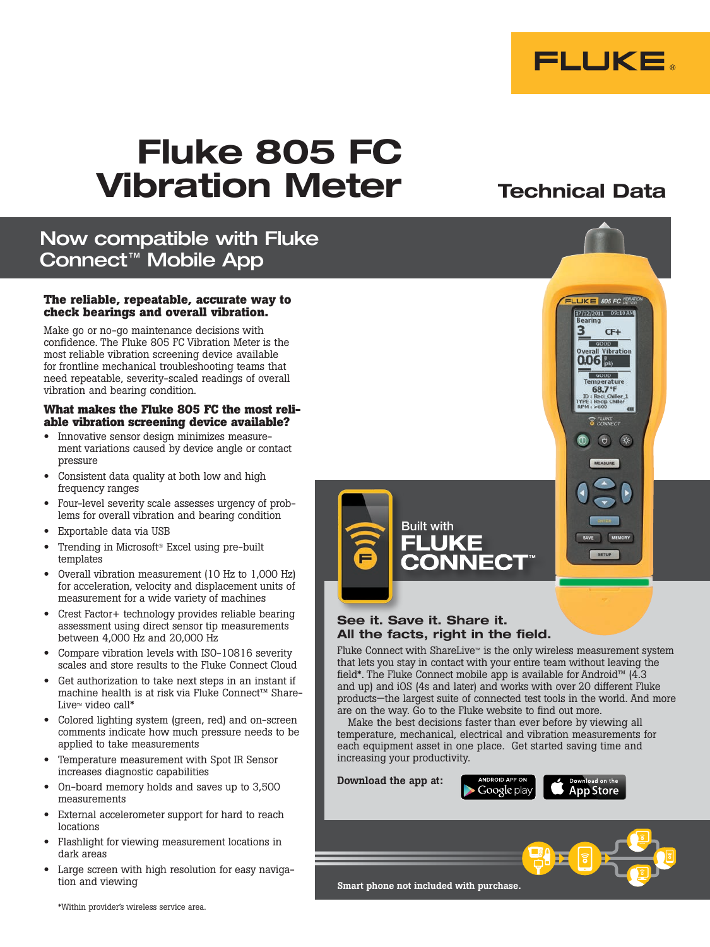

Technical Data

# Fluke 805 FC Vibration Meter

# Now compatible with Fluke Connect™ Mobile App

#### **The reliable, repeatable, accurate way to check bearings and overall vibration.**

Make go or no-go maintenance decisions with confidence. The Fluke 805 FC Vibration Meter is the most reliable vibration screening device available for frontline mechanical troubleshooting teams that need repeatable, severity-scaled readings of overall vibration and bearing condition.

# **What makes the Fluke 805 FC the most reli- able vibration screening device available?**

- Innovative sensor design minimizes measurement variations caused by device angle or contact pressure
- Consistent data quality at both low and high frequency ranges
- Four-level severity scale assesses urgency of problems for overall vibration and bearing condition
- Exportable data via USB
- Trending in Microsoft® Excel using pre-built templates
- Overall vibration measurement (10 Hz to 1,000 Hz) for acceleration, velocity and displacement units of measurement for a wide variety of machines
- Crest Factor+ technology provides reliable bearing assessment using direct sensor tip measurements between 4,000 Hz and 20,000 Hz
- Compare vibration levels with ISO-10816 severity scales and store results to the Fluke Connect Cloud
- Get authorization to take next steps in an instant if machine health is at risk via Fluke Connect™ Share-Live™ video call\*
- Colored lighting system (green, red) and on-screen comments indicate how much pressure needs to be applied to take measurements
- Temperature measurement with Spot IR Sensor increases diagnostic capabilities
- On-board memory holds and saves up to 3,500 measurements
- External accelerometer support for hard to reach locations
- Flashlight for viewing measurement locations in dark areas
- Large screen with high resolution for easy navigation and viewing





# See it. Save it. Share it. All the facts, right in the field.

Fluke Connect with ShareLive™ is the only wireless measurement system that lets you stay in contact with your entire team without leaving the field\*. The Fluke Connect mobile app is available for Android™ (4.3 and up) and iOS (4s and later) and works with over 20 different Fluke products—the largest suite of connected test tools in the world. And more are on the way. Go to the Fluke website to find out more.

Make the best decisions faster than ever before by viewing all temperature, mechanical, electrical and vibration measurements for each equipment asset in one place. Get started saving time and increasing your productivity.

Download the app at:

Google play **App Store** 



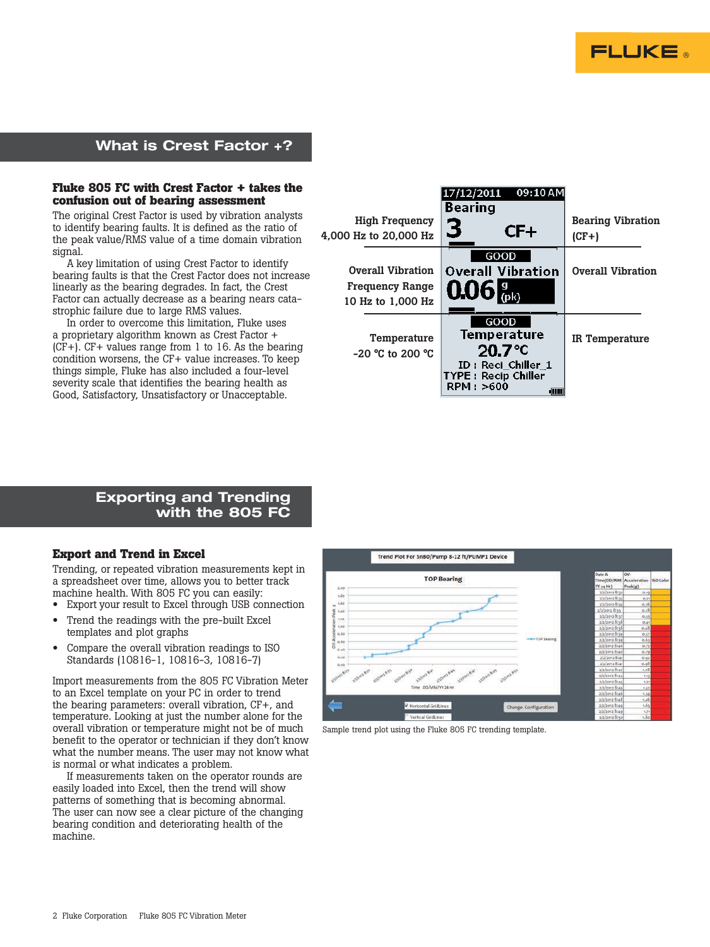

## What is Crest Factor +?

#### **Fluke 805 FC with Crest Factor + takes the confusion out of bearing assessment**

The original Crest Factor is used by vibration analysts to identify bearing faults. It is defined as the ratio of the peak value/RMS value of a time domain vibration signal.

A key limitation of using Crest Factor to identify bearing faults is that the Crest Factor does not increase linearly as the bearing degrades. In fact, the Crest Factor can actually decrease as a bearing nears catastrophic failure due to large RMS values.

In order to overcome this limitation, Fluke uses a proprietary algorithm known as Crest Factor + (CF+). CF+ values range from 1 to 16. As the bearing condition worsens, the CF+ value increases. To keep things simple, Fluke has also included a four-level severity scale that identifies the bearing health as Good, Satisfactory, Unsatisfactory or Unacceptable.



### Exporting and Trending with the 805 FC

#### **Export and Trend in Excel**

Trending, or repeated vibration measurements kept in a spreadsheet over time, allows you to better track machine health. With 805 FC you can easily:

- Export your result to Excel through USB connection
- Trend the readings with the pre-built Excel templates and plot graphs
- Compare the overall vibration readings to ISO Standards (10816-1, 10816-3, 10816-7)

Import measurements from the 805 FC Vibration Meter to an Excel template on your PC in order to trend the bearing parameters: overall vibration, CF+, and temperature. Looking at just the number alone for the overall vibration or temperature might not be of much benefit to the operator or technician if they don't know what the number means. The user may not know what is normal or what indicates a problem.

If measurements taken on the operator rounds are easily loaded into Excel, then the trend will show patterns of something that is becoming abnormal. The user can now see a clear picture of the changing bearing condition and deteriorating health of the machine.



Sample trend plot using the Fluke 805 FC trending template.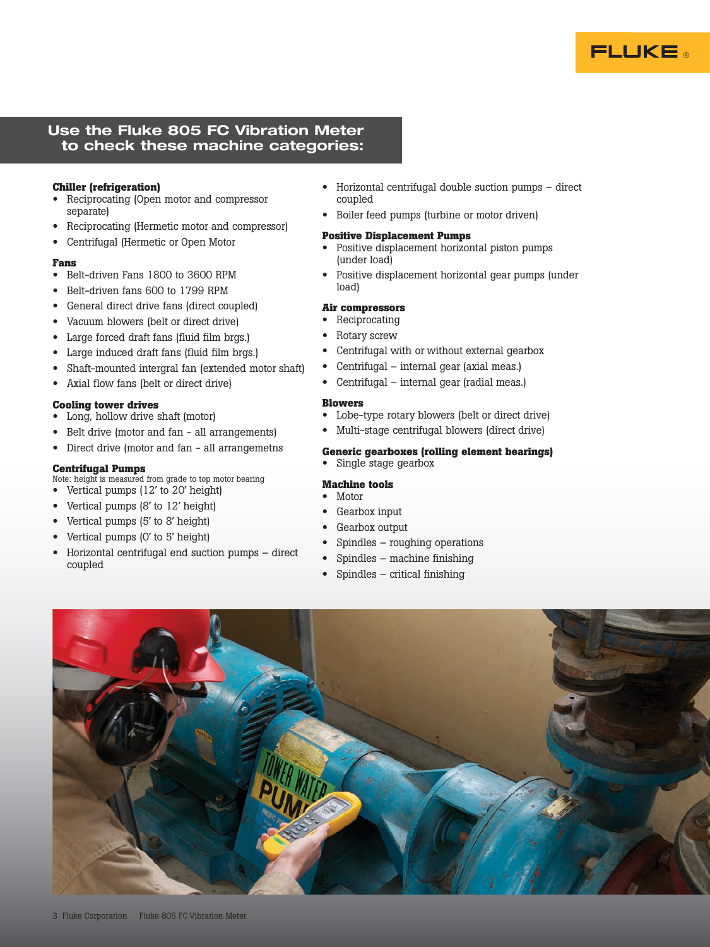

### Use the Fluke 805 FC Vibration Meter to check these machine categories:

#### **Chiller (refrigeration)**

- Reciprocating (Open motor and compressor separate)
- Reciprocating (Hermetic motor and compressor)
- Centrifugal (Hermetic or Open Motor

#### **Fans**

- Belt-driven Fans 1800 to 3600 RPM
- Belt-driven fans 600 to 1799 RPM
- General direct drive fans (direct coupled)
- Vacuum blowers (belt or direct drive)
- Large forced draft fans (fluid film brgs.)
- Large induced draft fans (fluid film brgs.)
- Shaft-mounted intergral fan (extended motor shaft)
- Axial flow fans (belt or direct drive)

#### **Cooling tower drives**

- Long, hollow drive shaft (motor)
- Belt drive (motor and fan all arrangements)
- Direct drive (motor and fan all arrangemetns

#### **Centrifugal Pumps**

Note: height is measured from grade to top motor bearing

- Vertical pumps (12' to 20' height)
- Vertical pumps (8' to 12' height)
- Vertical pumps (5' to 8' height) • Vertical pumps (0' to 5' height)
- Horizontal centrifugal end suction pumps direct coupled
- Horizontal centrifugal double suction pumps direct coupled
- Boiler feed pumps (turbine or motor driven)

#### **Positive Displacement Pumps**

- Positive displacement horizontal piston pumps (under load)
- Positive displacement horizontal gear pumps (under load)

#### **Air compressors**

- Reciprocating
- Rotary screw
- Centrifugal with or without external gearbox
- Centrifugal internal gear (axial meas.)
- Centrifugal internal gear (radial meas.)

#### **Blowers**

- Lobe-type rotary blowers (belt or direct drive)
- Multi-stage centrifugal blowers (direct drive)

#### **Generic gearboxes (rolling element bearings)**

• Single stage gearbox

#### **Machine tools**

- Motor
- Gearbox input
- Gearbox output
- Spindles roughing operations
- Spindles machine finishing
- Spindles critical finishing